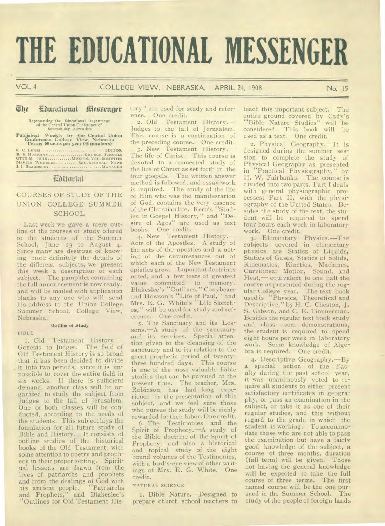# **THE EDUCATIONAL MESSENGER**

VOL.4 COLLEGE VIEW, NEBRASKA, APRIL 24, 1908 No. 15

## The Educational Messenger

Representing the Educational Department of the Central Union Conference of Seventh-day Adventists

Published Weekly by the Central Union<br>Conference, College View, Nebraska<br>Terms 50 cents per year (48 numbers)

C. C. LEWIS EDITOR B. E. HUFFMAN CHURCH SCHOOLS OTTO M JOHN MISSION. VOL. SOCIETIES MERTIE WHEELER EDUCATIONAL NEWS J. 1. BEARDSLEY ...... ........ . ....MANAGER

# Editorial

# COURSES OF STUDY OF THE UNION COLLEGE SUMMER SCHOOL

Last week we gave a mere outline of the courses of study offered to the students of the Summer School, June 23 to August 4. Since many are desirous of knowing more definitely the details of the different subjects, we present this week a description of each subject. The pamphlet containing the full announcement is now ready, and will be mailed with application blanks to any one who will send his address to the Union College Summer School, College View, Nebraska. •

#### **Outline of Study**

BIBLE

1. Old Testament History.— Genesis to Judges. The field of Old Testament History is so broad that it has been decided to divide it into two periods, since it is impossible to cover the entire field in six weeks. If there is sufficient demand, another class will be organized to study the subject from Judges to the fall of Jerusalem. One or both classes will be conducted, according to the needs of the students. This subject lays the foundation for all future study of Bible and History. It consists of outline studies of the historical books of the Old Testament, with some attention to poetry and prophecy in their proper setting. Spiritual lessons are drawn from the lives of patriarchs and prophets and from the dealings of God with his ancient people. "Patriarchs and Prophets," and Blakeslee's "Outlines for Old Testament His-

tory" are used for study and reference. One credit.

2. Old Testament History.— Judges to the fall of Jerusalem. This course is a continuation of the preceding course. One credit.

3. New Testament History.— The life of Christ. This course is devoted to a connected study of the life of Christ as set forth in the four gospels. The written answer method is followed, and essay work is required. The study of the life of Him who was the manifestation of God, contains the very essence of the Christian life. Kern's "Studies in Gospel History," and "Desire of Ages" are used as text books. One credit.

4. New Testament History.— Acts of the Apostles. A study of the acts of the apostles and a noting of the circumstances out of which each of the New Testament epistles grew. Important doctrines noted, and a few texts of greatest value committed to memory. Blakeslee's "Outlines," Conybeare and Howson's "Life of Paul," and Mrs. E. G. White's "Life Sketches," will be used for study and reference. One credit.

5. The Sanctuary and its Lessons.—A study of the sanctuary and its services. Special attention given to the cleansing of the sanctuary and to its relation to the great prophetic period of twentythree hundred days. This course is one of the most valuable Bible studies that can be pursued at the present time. The teacher, Mrs. Robinson, has had long experience in the presentation of this subject, and we feel sure those who pursue the study will be richly rewarded for their labor. One credit.

6. The Testimonies and the Spirit of Prophecy.—A study of the Bible doctrine of the Spirit of Prophecy, and also a historical and topical study of the eight bound volumes of the Testimonies, with a bird's-eye view of other writings of Mrs. E. G. White. One credit.

#### NATURAL SCIENCE

i. Bible Nature.—Designed to prepare church school teachers to teach this important subject. The entire ground covered by Cady's "Bible Nature Studies" will be considered. This book will be used as a text. One credit.

2. Physical Geography.—It is designed during the summer session to complete the study of Physical Geography as presented in "Practical Physiography," by H. W. Fairbanks. The course is divided into two parts. Part I deals with general physiographic processes; Part II, with the physiography of the United States. Besides the study of the text, the student will be required to spend four hours each week in laboratory work. One credit.

3. Elementary Physics.—The subjects covered in elementary physics are Statics of Liquids, Statics of Gases, Statics of Solids, Kinematics, Kinetics, Machines, Curvilinear Motion, Sound, and Heat,— equivalent to one half the course as presented during the regular College year. The text book used is "Physics, Theoretical and Descriptive," by H. C. Cheston, J. S. Gibson, and C. E. Timmerman. Besides the regular text book study and class room demonstrations, the student is required to spend eight hours per week in laboratory work. Some knowledge of Algebra is required. One credit.

4. Descriptive Geography.—By special action of the Faculty during the past school year, it was unanimously voted to require all students to either present satisfactory certificates in geography, or pass an examination in the subject, or take it as one of their regular studies, and this without regard to the grade in which the student is working. To accommodate those who are not able to pass the examination but have a fairly good knowledge of the subject, a course of three months, duration (fall term) will be given. Those not having the general knowledge will be expected to take the full course of three terms. The first named course will be the one pursued in the Summer School. The study of the people of foreign lands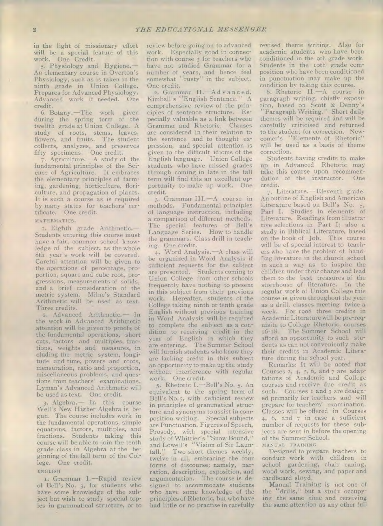in the light of missionary effort will be a special feature of this work. One Credit.

5. Physiology and Hygiene.— An elementary course in Overton's Physiology, such as is taken in the ninth grade in Union College. Prepares for Advanced Physiology. Advanced work if needed. One credit.

6. Botany.—The work given during the spring term of the twelfth grade at Union College. A study of roots, stems, leaves, flowers, and fruits. The student collects, analyzes, and preserves fifty specimens. One credit.

7. Agriculture.—A study of the fundamental principles of the Science of Agriculture. It embraces the elementary principles of farming, gardening, horticulture, floriculture, and propagation of plants. It is such a course as is required by many states for teachers' certificate. One credit.

#### MATHEMATICS.

1. Eighth grade Arithmetic.— Students entering this course must have a fair, common school knowledge of the subject, as the whole 8th year's work will be covered. Careful attention will be given to the operations of percentage, proportion, square and cube root, progressions, measurements of solids, and a brief consideration of the metric system. Milne's Standard Arithmetic will be used as text. Three credits.

2. Advanced Arithmetic.— In the work in Advanced Arithmetic attention will be given to proofs of the fundamental operations, short cuts, factors and multiples, fractions, weights and measures, in cluding the metric system, longitude and time, powers and roots, mensuration, ratio and proportion, miscellaneous problems, and questions from teachers' examinations. Lyman's Advanced Arithmetic will be used as text. One credit.

3. Algebra. - In this course Well's New Higher Algebra is begun. The course includes work in the fundamental operations, simple equations, factors, multiples, and fractions. Students taking this course will be able to join the tenth grade class in Algebra at the beginning of the fall term of the College. One credit.

#### ENGLISH

I. Grammar I.—Rapid review of Bell's No. 3, for students who have some knowledge of the subject but wish to study special topics in grammatical structure, or to

review before going on to advanced work. Especially good in connection with course 3 for teachers who have not studied Grammar for a number of years, and hence feel somewhat "rusty" in the subject. One credit.

2. Grammar II.-Advanced. Kimball's "English Sentence." A comprehensive review of the principles of sentence structure. Especially valuable as a link between Grammar and Rhetoric. Clauses are considered in their relation to the sentence and to thought expression, and special attention is given to the difficult idioms of the English language. Union College students who have missed grades through coming in late in the fall term will find this an excellent opportunity to make up work. One credit.

3. Grammar III.—A course in methods. Fundamental principles of language instruction, including a comparison of different methods. The special features of Bell's Language Series. How to handle the grammars. Class drill in teaching. One credit.

4. Word Analysis.—A class will be organized in Word Analysis if sufficient requests for the subject are presented. Students coming to Union College from other schools frequently have nothing to present in this subject from their previous work. Hereafter, students of the College taking ninth or tenth grade English without previous training in Word Analysis will be required to complete the subject as a condition to receiving credit in the year of English in which they are entering. The Summer School will furnish students who know they are lacking credit in this subject an opportunity to make up the study without interference with regular work. One credit.

5. Rhetoric I.—Bell's No. 5. An equivalent to the spring term of Bell's No.5, with sufficient review in principles of grammatical structure and synonyms to assist in composition writing. Special subjects are Punctuation, Figures of Speech, Prosody, with special intensive study of Whittier's "Snow Bound," and Lowell's "Vision of Sir Launfall." Two short themes weekly, twelve in all, embracing the four forms of discourse; namely, narration, description, exposition, and argumentation. The course is designed to accommodate students who have some knowledge of the principles of Rhetoric, but who have had little or no practise in carefully

revised theme writing. Also for academic students who have been conditioned in the gth grade work. Students in the 10th grade composition who have been conditioned in punctuation may make up the condition by taking this course.

6. Rhetoric IL—A course in paragraph writing, chiefly exposition, based on Scott & Denny's "Paragraph Writing." Short daily themes will be required and will be carefully criticised and returned to the student for correction. Newcomer's "Elements of Rhetoric" will be used as a basis of theme correction.

Students having credits to make up in Advanced Rhetoric may take this course upon recommendation of the instructor. One credit.

7. Literature.—Eleventh grade. An outline of English and American Literature based on Bell's No. 5, Part I. Studies in elements of Literature. Readings from illustrative selections in Part I; also a study in Biblical Literature, based on the book of Job. This course will be of special interest to teachers who have the problem of handling literature in the church school in such a way as to inspire the children under their charge and lead them to the best treasures of the storehouse of literature. In the regular work of Union College this course is given throughout the year as a drill, classes meeting twice a week. For 1908 three credits in Academic Literature will be pre-requisite to College Rhetoric, courses 16-18. The Summer School will afford an opportunity to such students as can not conveniently make their credits in Academic Literature during the school year.

Remarks: It will be noted that Courses 2,  $4$ ,  $5$ ,  $6$ , and  $7$  are adaptations of Academic and College courses and receive due credit as such. Courses I and 3 are designed primarily for teachers and will prepare for teachers' examination. Classes will be offered in Courses 4,  $6$ , and  $7$  in case a sufficient number of requests for these subjects are sent in before the opening of the Summer School. MANUAL TRAINING

Designed to prepare teachers to conduct work with children in school gardening, chair caning, wood work, sewing, and paper and cardboard sloyd.

Manual Training is not one of the "drills," but a study occupying the same time and receiving the same attention as any other full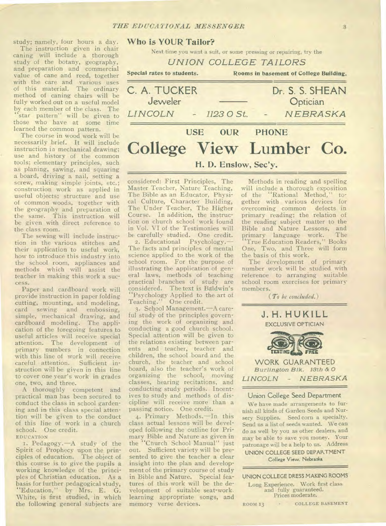study; namely, four hours a day.

The instruction given in chair caning will include a thorough study of the botany, geography, and preparation and commercial value of cane and reed, together with the care and various uses of this material. The ordinary method of caning chairs will be fully worked out on a useful model by each member of the class. The "star pattern" will be given to those who have at some time learned the common pattern.

The course in wood work will be necessarily brief. It will include instruction in mechanical drawing; use and history of the common tools; elementary principles, such as planing, sawing, and squaring a board, driving a nail, setting a screw, making simple joints, etc.; construction work as applied in useful objects; structure and use of common woods, together with the geography and preparation of the same. This instruction will be given with direct reference to the class room.

The sewing will include instruction in the various stitches and their application to useful work, how to introduce this industry into the school room, appliances and methods which will assist the teacher in making this work a success.

Paper and cardboard work will provide instruction in paper folding cutting, mounting, and modeling, card sewing and embossing, simple, mechanical drawing, and cardboard modeling. The application of the foregoing features to useful articles will receive special attention. The development of primary numbers in connection with this line of work will receive careful attention. Sufficient instruction will be given in this line to cover one year's work in grades one, two, and three.

A thoroughly competent and practical man has been secured to conduct the class in school gardening and in this class special attention will be given to the conduct of this line of work in a church school. One credit.

EDUCATION

1. Pedagogy.—A study of the Spirit of Prophecy upon the principles of education. The object of this course is to give the pupils a working knowledge of the principles of Christian education. As a basis for further pedagogical study, "Education," by Mrs. E. G. White, is first studied, in which the following general subjects are

## **Who is YOUR Tailor?**

Next time you want a suit, or some pressing or repairing, try the

*UNION COLLEGE TAILORS* 

**Special rates to students. Rooms in basement of College Building. C. A. TUCKER** Dr. S. S. SHEAN <br>Jeweler Dotician **Optician** 

*LINCOLN - 1123 0 St. NEBRASKA*  USE OUR **PHONE College View Lumber Co.** 

## **H.** D. Enslow, Sec'v.

considered: First Principles, The Master Teacher, Nature Teaching, The Bible as an Educator, Physical Culture, Character Building, The Under Teacher, The Higher Course. In addition, the instruction on church school work found in Vol. VI of the Testimonies will be carefully studied. One credit.

2. Educational Psychology.— The facts and principles of mental science applied to the work of the school room. For the purpose of illustrating the application of general laws, methods of teaching practical branches of study are considered. The text is Baldwin's "Psychology Applied to the art of Teaching." One credit.

3. School Management.—A careful study of the principles governing the work of organizing and conducting a good church school. Special attention will be given to the relations existing between parents and teacher, teacher and children, the school board and the church, the teacher and school board, also the teacher's work of organizing the school, moving classes, hearing recitations, and conducting study periods. Incentives to study and methods of discipline will receive more than a passing notice. One credit.

4. Primary Methods.—In this class actual lessons will be developed following the outline for Primary Bible and Nature as given in the "Church School Manual" just out. Sufficient variety will be presented to give the teacher a clear insight into the plan and development of the primary course of study in Bible and Nature. Special features of this work will be the development of suitable seat-work. learning appropriate songs, and memory verse devices.

Methods in reading and spelling will include a thorough exposition of the "Rational Method," together with various devices for overcoming common defects in primary reading; the relation of the reading subject matter to the Bible and Nature Lessons, and rimary language work. The "True Education Readers," Books One, Two, and Three will form the basis of this work.

The development of primary number work will be studied with reference to arranging suitable school room exercises for primary members.

*(To be concluded.)* 



## **Union College Seed Department**

We have made arrangements to furnish all kinds of Garden Seeds and Nursery Supplies. Seed corn a specialty. Send us a list of seeds wanted. We can do as well by you as other dealers, and may be able to save you money. Your patronage will be a help to us. Address **UNION COLLEGE SEED DEPARTMENT** 

**College View, Nebraska** 

UNION COLLEGE DRESS MAKING ROOMS

Long Experience. Work first class and fully guaranteed. Prices moderate.

ROOM 13 - COLLEGE BASEMENT